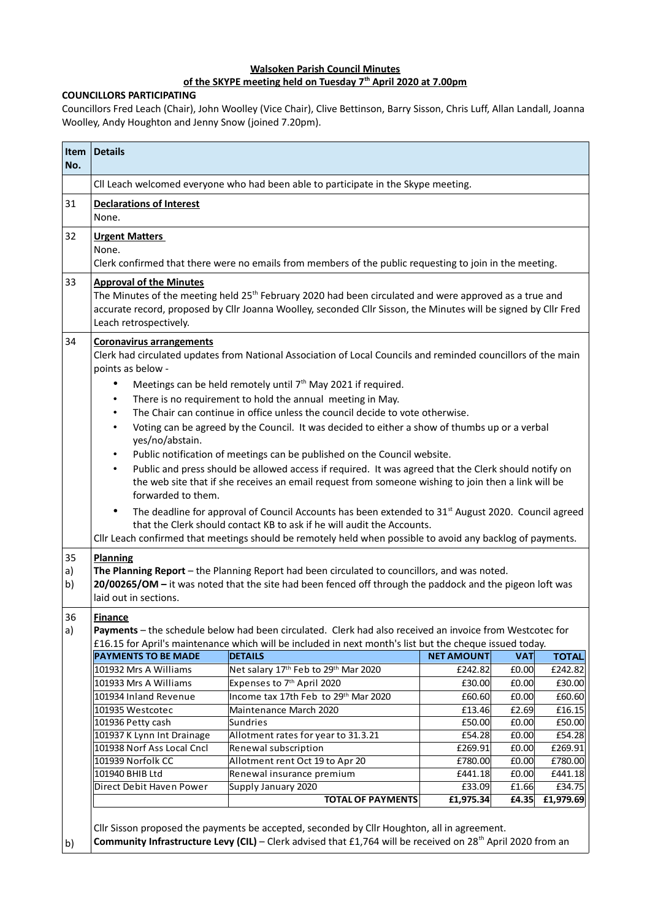## **Walsoken Parish Council Minutes of the SKYPE meeting held on Tuesday 7th April 2020 at 7.00pm**

## **COUNCILLORS PARTICIPATING**

Councillors Fred Leach (Chair), John Woolley (Vice Chair), Clive Bettinson, Barry Sisson, Chris Luff, Allan Landall, Joanna Woolley, Andy Houghton and Jenny Snow (joined 7.20pm).

| Item<br>No.          | <b>Details</b>                                                                                                                                                                                                                                                                                                                                                                                                                                                                                                                                                                                                                                                                                                                                                                                                                                                                                                                                                                                                                                                                                                                                                                                                                                                                                                                                                                                                                                                               |                                                                                                                                                                                                                        |                   |            |              |  |
|----------------------|------------------------------------------------------------------------------------------------------------------------------------------------------------------------------------------------------------------------------------------------------------------------------------------------------------------------------------------------------------------------------------------------------------------------------------------------------------------------------------------------------------------------------------------------------------------------------------------------------------------------------------------------------------------------------------------------------------------------------------------------------------------------------------------------------------------------------------------------------------------------------------------------------------------------------------------------------------------------------------------------------------------------------------------------------------------------------------------------------------------------------------------------------------------------------------------------------------------------------------------------------------------------------------------------------------------------------------------------------------------------------------------------------------------------------------------------------------------------------|------------------------------------------------------------------------------------------------------------------------------------------------------------------------------------------------------------------------|-------------------|------------|--------------|--|
|                      | CII Leach welcomed everyone who had been able to participate in the Skype meeting.                                                                                                                                                                                                                                                                                                                                                                                                                                                                                                                                                                                                                                                                                                                                                                                                                                                                                                                                                                                                                                                                                                                                                                                                                                                                                                                                                                                           |                                                                                                                                                                                                                        |                   |            |              |  |
| 31                   | <b>Declarations of Interest</b><br>None.                                                                                                                                                                                                                                                                                                                                                                                                                                                                                                                                                                                                                                                                                                                                                                                                                                                                                                                                                                                                                                                                                                                                                                                                                                                                                                                                                                                                                                     |                                                                                                                                                                                                                        |                   |            |              |  |
| 32                   | <b>Urgent Matters</b><br>None.<br>Clerk confirmed that there were no emails from members of the public requesting to join in the meeting.                                                                                                                                                                                                                                                                                                                                                                                                                                                                                                                                                                                                                                                                                                                                                                                                                                                                                                                                                                                                                                                                                                                                                                                                                                                                                                                                    |                                                                                                                                                                                                                        |                   |            |              |  |
| 33                   | <b>Approval of the Minutes</b><br>The Minutes of the meeting held 25 <sup>th</sup> February 2020 had been circulated and were approved as a true and<br>accurate record, proposed by Cllr Joanna Woolley, seconded Cllr Sisson, the Minutes will be signed by Cllr Fred<br>Leach retrospectively.                                                                                                                                                                                                                                                                                                                                                                                                                                                                                                                                                                                                                                                                                                                                                                                                                                                                                                                                                                                                                                                                                                                                                                            |                                                                                                                                                                                                                        |                   |            |              |  |
| 34<br>35<br>a)<br>b) | <b>Coronavirus arrangements</b><br>Clerk had circulated updates from National Association of Local Councils and reminded councillors of the main<br>points as below -<br>Meetings can be held remotely until 7 <sup>th</sup> May 2021 if required.<br>٠<br>There is no requirement to hold the annual meeting in May.<br>٠<br>The Chair can continue in office unless the council decide to vote otherwise.<br>$\bullet$<br>Voting can be agreed by the Council. It was decided to either a show of thumbs up or a verbal<br>$\bullet$<br>yes/no/abstain.<br>Public notification of meetings can be published on the Council website.<br>$\bullet$<br>Public and press should be allowed access if required. It was agreed that the Clerk should notify on<br>$\bullet$<br>the web site that if she receives an email request from someone wishing to join then a link will be<br>forwarded to them.<br>The deadline for approval of Council Accounts has been extended to 31 <sup>st</sup> August 2020. Council agreed<br>٠<br>that the Clerk should contact KB to ask if he will audit the Accounts.<br>Cllr Leach confirmed that meetings should be remotely held when possible to avoid any backlog of payments.<br><b>Planning</b><br>The Planning Report - the Planning Report had been circulated to councillors, and was noted.<br>20/00265/OM - it was noted that the site had been fenced off through the paddock and the pigeon loft was<br>laid out in sections. |                                                                                                                                                                                                                        |                   |            |              |  |
| 36<br>a)             | <b>Finance</b><br>Payments - the schedule below had been circulated. Clerk had also received an invoice from Westcotec for<br>£16.15 for April's maintenance which will be included in next month's list but the cheque issued today.                                                                                                                                                                                                                                                                                                                                                                                                                                                                                                                                                                                                                                                                                                                                                                                                                                                                                                                                                                                                                                                                                                                                                                                                                                        |                                                                                                                                                                                                                        |                   |            |              |  |
|                      | <b>PAYMENTS TO BE MADE</b>                                                                                                                                                                                                                                                                                                                                                                                                                                                                                                                                                                                                                                                                                                                                                                                                                                                                                                                                                                                                                                                                                                                                                                                                                                                                                                                                                                                                                                                   | <b>DETAILS</b>                                                                                                                                                                                                         | <b>NET AMOUNT</b> | <b>VAT</b> | <b>TOTAL</b> |  |
|                      | 101932 Mrs A Williams                                                                                                                                                                                                                                                                                                                                                                                                                                                                                                                                                                                                                                                                                                                                                                                                                                                                                                                                                                                                                                                                                                                                                                                                                                                                                                                                                                                                                                                        | Net salary 17th Feb to 29th Mar 2020                                                                                                                                                                                   | £242.82           | £0.00      | £242.82      |  |
|                      | 101933 Mrs A Williams                                                                                                                                                                                                                                                                                                                                                                                                                                                                                                                                                                                                                                                                                                                                                                                                                                                                                                                                                                                                                                                                                                                                                                                                                                                                                                                                                                                                                                                        | Expenses to 7 <sup>th</sup> April 2020                                                                                                                                                                                 | £30.00            | £0.00      | £30.00       |  |
|                      | 101934 Inland Revenue                                                                                                                                                                                                                                                                                                                                                                                                                                                                                                                                                                                                                                                                                                                                                                                                                                                                                                                                                                                                                                                                                                                                                                                                                                                                                                                                                                                                                                                        | Income tax 17th Feb to 29th Mar 2020                                                                                                                                                                                   | £60.60            | £0.00      | £60.60       |  |
|                      | 101935 Westcotec                                                                                                                                                                                                                                                                                                                                                                                                                                                                                                                                                                                                                                                                                                                                                                                                                                                                                                                                                                                                                                                                                                                                                                                                                                                                                                                                                                                                                                                             | Maintenance March 2020                                                                                                                                                                                                 | £13.46            | £2.69      | £16.15       |  |
|                      | 101936 Petty cash                                                                                                                                                                                                                                                                                                                                                                                                                                                                                                                                                                                                                                                                                                                                                                                                                                                                                                                                                                                                                                                                                                                                                                                                                                                                                                                                                                                                                                                            | Sundries                                                                                                                                                                                                               | £50.00            | £0.00      | £50.00       |  |
|                      | 101937 K Lynn Int Drainage                                                                                                                                                                                                                                                                                                                                                                                                                                                                                                                                                                                                                                                                                                                                                                                                                                                                                                                                                                                                                                                                                                                                                                                                                                                                                                                                                                                                                                                   | Allotment rates for year to 31.3.21                                                                                                                                                                                    | £54.28            | £0.00      | £54.28       |  |
|                      | 101938 Norf Ass Local Cncl                                                                                                                                                                                                                                                                                                                                                                                                                                                                                                                                                                                                                                                                                                                                                                                                                                                                                                                                                                                                                                                                                                                                                                                                                                                                                                                                                                                                                                                   | Renewal subscription                                                                                                                                                                                                   | £269.91           | £0.00      | £269.91      |  |
|                      | 101939 Norfolk CC                                                                                                                                                                                                                                                                                                                                                                                                                                                                                                                                                                                                                                                                                                                                                                                                                                                                                                                                                                                                                                                                                                                                                                                                                                                                                                                                                                                                                                                            | Allotment rent Oct 19 to Apr 20                                                                                                                                                                                        | £780.00           | £0.00      | £780.00      |  |
|                      | 101940 BHIB Ltd                                                                                                                                                                                                                                                                                                                                                                                                                                                                                                                                                                                                                                                                                                                                                                                                                                                                                                                                                                                                                                                                                                                                                                                                                                                                                                                                                                                                                                                              | Renewal insurance premium                                                                                                                                                                                              | £441.18           | £0.00      | £441.18      |  |
|                      | Direct Debit Haven Power                                                                                                                                                                                                                                                                                                                                                                                                                                                                                                                                                                                                                                                                                                                                                                                                                                                                                                                                                                                                                                                                                                                                                                                                                                                                                                                                                                                                                                                     | Supply January 2020                                                                                                                                                                                                    | £33.09            | £1.66      | £34.75       |  |
|                      |                                                                                                                                                                                                                                                                                                                                                                                                                                                                                                                                                                                                                                                                                                                                                                                                                                                                                                                                                                                                                                                                                                                                                                                                                                                                                                                                                                                                                                                                              | <b>TOTAL OF PAYMENTS</b>                                                                                                                                                                                               | £1,975.34         | £4.35      | £1,979.69    |  |
| b)                   |                                                                                                                                                                                                                                                                                                                                                                                                                                                                                                                                                                                                                                                                                                                                                                                                                                                                                                                                                                                                                                                                                                                                                                                                                                                                                                                                                                                                                                                                              | Cllr Sisson proposed the payments be accepted, seconded by Cllr Houghton, all in agreement.<br>Community Infrastructure Levy (CIL) - Clerk advised that £1,764 will be received on 28 <sup>th</sup> April 2020 from an |                   |            |              |  |